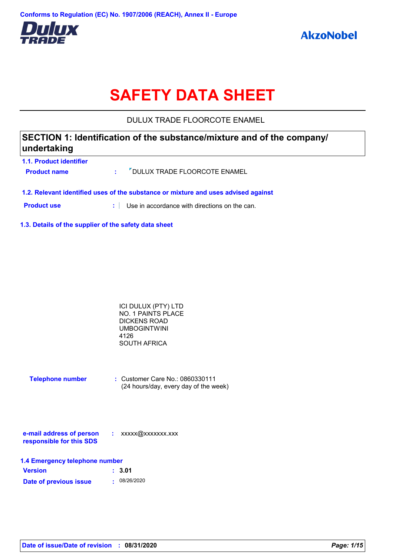

# **SAFETY DATA SHEET**

DULUX TRADE FLOORCOTE ENAMEL

# **SECTION 1: Identification of the substance/mixture and of the company/ undertaking**

| <b>1.1. Product identifier</b>                                                     |  |                                             |  |  |
|------------------------------------------------------------------------------------|--|---------------------------------------------|--|--|
| <b>Product name</b>                                                                |  | : <sup>7</sup> DULUX TRADE FLOORCOTE ENAMEL |  |  |
| 1.2. Relevant identified uses of the substance or mixture and uses advised against |  |                                             |  |  |

**Product use <b>:** Use in accordance with directions on the can.

**1.3. Details of the supplier of the safety data sheet**

| ICI DULUX (PTY) LTD       |  |
|---------------------------|--|
| <b>NO. 1 PAINTS PLACE</b> |  |
| DICKENS ROAD              |  |
| UMBOGINTWINI              |  |
| 4126                      |  |
| SOUTH AFRICA              |  |
|                           |  |

| <b>Telephone number</b> | $\therefore$ Customer Care No.: 0860330111 |
|-------------------------|--------------------------------------------|
|                         | (24 hours/day, every day of the week)      |

| e-mail address of person | xxxxx@xxxxxxx.xxx |
|--------------------------|-------------------|
| responsible for this SDS |                   |

| 1.4 Emergency telephone number |              |  |  |  |
|--------------------------------|--------------|--|--|--|
| <b>Version</b>                 | : 3.01       |  |  |  |
| Date of previous issue         | . 08/26/2020 |  |  |  |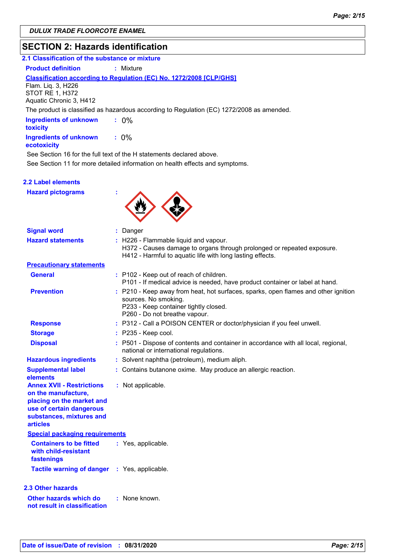# **SECTION 2: Hazards identification**

| 2.1 Classification of the substance or mixture |  |
|------------------------------------------------|--|
|                                                |  |

**Product definition : Mixture** 

### **Classification according to Regulation (EC) No. 1272/2008 [CLP/GHS]**

Flam. Liq. 3, H226 STOT RE 1, H372 Aquatic Chronic 3, H412

The product is classified as hazardous according to Regulation (EC) 1272/2008 as amended.

| <b>Ingredients of unknown</b><br>toxicity    | $: 0\%$ |
|----------------------------------------------|---------|
| <b>Ingredients of unknown</b><br>ecotoxicity | $: 0\%$ |

See Section 16 for the full text of the H statements declared above.

See Section 11 for more detailed information on health effects and symptoms.

### **2.2 Label elements**

**Hazard pictograms :**



| <b>Signal word</b>                                                                                                                                              | : Danger                                                                                                                                                                             |
|-----------------------------------------------------------------------------------------------------------------------------------------------------------------|--------------------------------------------------------------------------------------------------------------------------------------------------------------------------------------|
| <b>Hazard statements</b>                                                                                                                                        | : H226 - Flammable liquid and vapour.<br>H372 - Causes damage to organs through prolonged or repeated exposure.<br>H412 - Harmful to aquatic life with long lasting effects.         |
| <b>Precautionary statements</b>                                                                                                                                 |                                                                                                                                                                                      |
| <b>General</b>                                                                                                                                                  | : P102 - Keep out of reach of children.<br>P101 - If medical advice is needed, have product container or label at hand.                                                              |
| <b>Prevention</b>                                                                                                                                               | : P210 - Keep away from heat, hot surfaces, sparks, open flames and other ignition<br>sources. No smoking.<br>P233 - Keep container tightly closed.<br>P260 - Do not breathe vapour. |
| <b>Response</b>                                                                                                                                                 | : P312 - Call a POISON CENTER or doctor/physician if you feel unwell.                                                                                                                |
| <b>Storage</b>                                                                                                                                                  | $:$ P235 - Keep cool.                                                                                                                                                                |
| <b>Disposal</b>                                                                                                                                                 | : P501 - Dispose of contents and container in accordance with all local, regional,<br>national or international regulations.                                                         |
| <b>Hazardous ingredients</b>                                                                                                                                    | : Solvent naphtha (petroleum), medium aliph.                                                                                                                                         |
| <b>Supplemental label</b><br>elements                                                                                                                           | : Contains butanone oxime. May produce an allergic reaction.                                                                                                                         |
| <b>Annex XVII - Restrictions</b><br>on the manufacture,<br>placing on the market and<br>use of certain dangerous<br>substances, mixtures and<br><b>articles</b> | : Not applicable.                                                                                                                                                                    |
| <b>Special packaging requirements</b>                                                                                                                           |                                                                                                                                                                                      |
| <b>Containers to be fitted</b><br>with child-resistant<br>fastenings                                                                                            | : Yes, applicable.                                                                                                                                                                   |
| <b>Tactile warning of danger</b>                                                                                                                                | : Yes, applicable.                                                                                                                                                                   |
| 2.3 Other hazards                                                                                                                                               |                                                                                                                                                                                      |
| Other hazards which do<br>not result in classification                                                                                                          | : None known.                                                                                                                                                                        |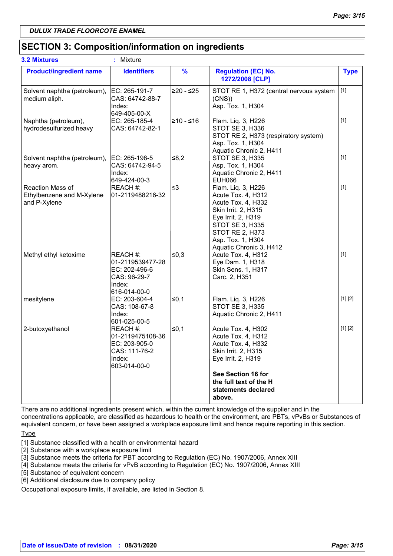# **SECTION 3: Composition/information on ingredients**

| <b>3.2 Mixtures</b>                                           | ٠<br>Mixture                                                                             |               |                                                                                                                                                                                                                 |             |
|---------------------------------------------------------------|------------------------------------------------------------------------------------------|---------------|-----------------------------------------------------------------------------------------------------------------------------------------------------------------------------------------------------------------|-------------|
| <b>Product/ingredient name</b>                                | <b>Identifiers</b>                                                                       | $\frac{9}{6}$ | <b>Regulation (EC) No.</b><br>1272/2008 [CLP]                                                                                                                                                                   | <b>Type</b> |
| Solvent naphtha (petroleum),<br>medium aliph.                 | EC: 265-191-7<br>CAS: 64742-88-7<br>Index:<br>649-405-00-X                               | $≥20 - ≤25$   | STOT RE 1, H372 (central nervous system<br>(CNS)<br>Asp. Tox. 1, H304                                                                                                                                           | $[1]$       |
| Naphtha (petroleum),<br>hydrodesulfurized heavy               | EC: 265-185-4<br>CAS: 64742-82-1                                                         | l≥10 - ≤16    | Flam. Liq. 3, H226<br><b>STOT SE 3, H336</b><br>STOT RE 2, H373 (respiratory system)<br>Asp. Tox. 1, H304<br>Aquatic Chronic 2, H411                                                                            | $[1]$       |
| Solvent naphtha (petroleum),<br>heavy arom.                   | EC: 265-198-5<br>CAS: 64742-94-5<br>Index:<br>649-424-00-3                               | 8,2∥          | <b>STOT SE 3, H335</b><br>Asp. Tox. 1, H304<br>Aquatic Chronic 2, H411<br><b>EUH066</b>                                                                                                                         | $[1]$       |
| Reaction Mass of<br>Ethylbenzene and M-Xylene<br>and P-Xylene | REACH #:<br>01-2119488216-32                                                             | ≤3            | Flam. Liq. 3, H226<br>Acute Tox. 4, H312<br>Acute Tox. 4, H332<br>Skin Irrit. 2, H315<br>Eye Irrit. 2, H319<br><b>STOT SE 3, H335</b><br><b>STOT RE 2, H373</b><br>Asp. Tox. 1, H304<br>Aquatic Chronic 3, H412 | $[1]$       |
| Methyl ethyl ketoxime                                         | REACH #:<br>01-2119539477-28<br>EC: 202-496-6<br>CAS: 96-29-7<br>Index:<br>616-014-00-0  | 50,3∣         | Acute Tox. 4, H312<br>Eye Dam. 1, H318<br>Skin Sens. 1, H317<br>Carc. 2, H351                                                                                                                                   | $[1]$       |
| mesitylene                                                    | EC: 203-604-4<br>CAS: 108-67-8<br>Index:<br>601-025-00-5                                 | l≤0,1         | Flam. Liq. 3, H226<br><b>STOT SE 3, H335</b><br>Aquatic Chronic 2, H411                                                                                                                                         | [1] [2]     |
| 2-butoxyethanol                                               | REACH #:<br>01-2119475108-36<br>EC: 203-905-0<br>CAS: 111-76-2<br>Index:<br>603-014-00-0 | $\leq 0,1$    | Acute Tox. 4, H302<br>Acute Tox. 4, H312<br>Acute Tox. 4, H332<br>Skin Irrit. 2, H315<br>Eye Irrit. 2, H319                                                                                                     | [1] [2]     |
|                                                               |                                                                                          |               | See Section 16 for<br>the full text of the H<br>statements declared<br>above.                                                                                                                                   |             |

There are no additional ingredients present which, within the current knowledge of the supplier and in the concentrations applicable, are classified as hazardous to health or the environment, are PBTs, vPvBs or Substances of equivalent concern, or have been assigned a workplace exposure limit and hence require reporting in this section.

**Type** 

[1] Substance classified with a health or environmental hazard

[2] Substance with a workplace exposure limit

[3] Substance meets the criteria for PBT according to Regulation (EC) No. 1907/2006, Annex XIII

[4] Substance meets the criteria for vPvB according to Regulation (EC) No. 1907/2006, Annex XIII

[5] Substance of equivalent concern

[6] Additional disclosure due to company policy

Occupational exposure limits, if available, are listed in Section 8.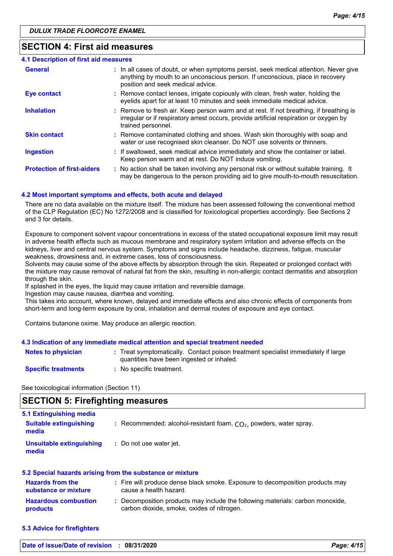### **SECTION 4: First aid measures**

| <b>4.1 Description of first aid measures</b> |                                                                                                                                                                                                             |
|----------------------------------------------|-------------------------------------------------------------------------------------------------------------------------------------------------------------------------------------------------------------|
| <b>General</b>                               | : In all cases of doubt, or when symptoms persist, seek medical attention. Never give<br>anything by mouth to an unconscious person. If unconscious, place in recovery<br>position and seek medical advice. |
| <b>Eye contact</b>                           | : Remove contact lenses, irrigate copiously with clean, fresh water, holding the<br>eyelids apart for at least 10 minutes and seek immediate medical advice.                                                |
| <b>Inhalation</b>                            | : Remove to fresh air. Keep person warm and at rest. If not breathing, if breathing is<br>irregular or if respiratory arrest occurs, provide artificial respiration or oxygen by<br>trained personnel.      |
| <b>Skin contact</b>                          | : Remove contaminated clothing and shoes. Wash skin thoroughly with soap and<br>water or use recognised skin cleanser. Do NOT use solvents or thinners.                                                     |
| <b>Ingestion</b>                             | : If swallowed, seek medical advice immediately and show the container or label.<br>Keep person warm and at rest. Do NOT induce vomiting.                                                                   |
| <b>Protection of first-aiders</b>            | : No action shall be taken involving any personal risk or without suitable training. It<br>may be dangerous to the person providing aid to give mouth-to-mouth resuscitation.                               |

#### **4.2 Most important symptoms and effects, both acute and delayed**

There are no data available on the mixture itself. The mixture has been assessed following the conventional method of the CLP Regulation (EC) No 1272/2008 and is classified for toxicological properties accordingly. See Sections 2 and 3 for details.

Exposure to component solvent vapour concentrations in excess of the stated occupational exposure limit may result in adverse health effects such as mucous membrane and respiratory system irritation and adverse effects on the kidneys, liver and central nervous system. Symptoms and signs include headache, dizziness, fatigue, muscular weakness, drowsiness and, in extreme cases, loss of consciousness.

Solvents may cause some of the above effects by absorption through the skin. Repeated or prolonged contact with the mixture may cause removal of natural fat from the skin, resulting in non-allergic contact dermatitis and absorption through the skin.

If splashed in the eyes, the liquid may cause irritation and reversible damage.

Ingestion may cause nausea, diarrhea and vomiting.

This takes into account, where known, delayed and immediate effects and also chronic effects of components from short-term and long-term exposure by oral, inhalation and dermal routes of exposure and eye contact.

Contains butanone oxime. May produce an allergic reaction.

#### **4.3 Indication of any immediate medical attention and special treatment needed**

| <b>Notes to physician</b>  | : Treat symptomatically. Contact poison treatment specialist immediately if large<br>quantities have been ingested or inhaled. |
|----------------------------|--------------------------------------------------------------------------------------------------------------------------------|
| <b>Specific treatments</b> | : No specific treatment.                                                                                                       |

See toxicological information (Section 11)

### **SECTION 5: Firefighting measures**

| 5.1 Extinguishing media                  |                                                                      |
|------------------------------------------|----------------------------------------------------------------------|
| <b>Suitable extinguishing</b><br>media   | : Recommended: alcohol-resistant foam, $CO2$ , powders, water spray. |
| <b>Unsuitable extinguishing</b><br>media | : Do not use water jet.                                              |
|                                          |                                                                      |

| 5.2 Special hazards arising from the substance or mixture |                                                                                                                              |
|-----------------------------------------------------------|------------------------------------------------------------------------------------------------------------------------------|
| <b>Hazards from the</b><br>substance or mixture           | : Fire will produce dense black smoke. Exposure to decomposition products may<br>cause a health hazard.                      |
| <b>Hazardous combustion</b><br>products                   | : Decomposition products may include the following materials: carbon monoxide,<br>carbon dioxide, smoke, oxides of nitrogen. |

**5.3 Advice for firefighters**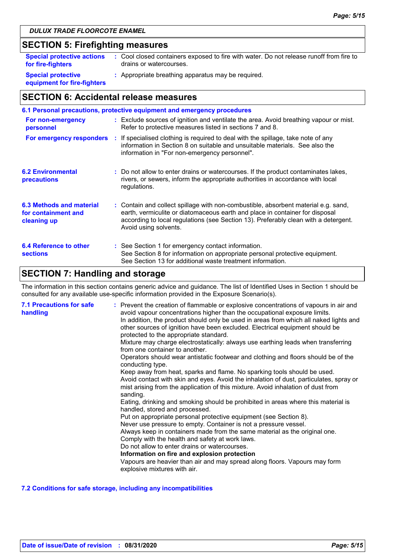# **SECTION 5: Firefighting measures**

| <b>Special protective actions</b>                        | : Cool closed containers exposed to fire with water. Do not release runoff from fire to |
|----------------------------------------------------------|-----------------------------------------------------------------------------------------|
| for fire-fighters                                        | drains or watercourses.                                                                 |
| <b>Special protective</b><br>equipment for fire-fighters | : Appropriate breathing apparatus may be required.                                      |

# **SECTION 6: Accidental release measures**

|                                                                | 6.1 Personal precautions, protective equipment and emergency procedures                                                                                                                                                                                                            |
|----------------------------------------------------------------|------------------------------------------------------------------------------------------------------------------------------------------------------------------------------------------------------------------------------------------------------------------------------------|
| For non-emergency<br>personnel                                 | : Exclude sources of ignition and ventilate the area. Avoid breathing vapour or mist.<br>Refer to protective measures listed in sections 7 and 8.                                                                                                                                  |
|                                                                | For emergency responders : If specialised clothing is required to deal with the spillage, take note of any<br>information in Section 8 on suitable and unsuitable materials. See also the<br>information in "For non-emergency personnel".                                         |
| <b>6.2 Environmental</b><br>precautions                        | : Do not allow to enter drains or watercourses. If the product contaminates lakes,<br>rivers, or sewers, inform the appropriate authorities in accordance with local<br>regulations.                                                                                               |
| 6.3 Methods and material<br>for containment and<br>cleaning up | : Contain and collect spillage with non-combustible, absorbent material e.g. sand,<br>earth, vermiculite or diatomaceous earth and place in container for disposal<br>according to local regulations (see Section 13). Preferably clean with a detergent.<br>Avoid using solvents. |
| 6.4 Reference to other<br><b>sections</b>                      | : See Section 1 for emergency contact information.<br>See Section 8 for information on appropriate personal protective equipment.<br>See Section 13 for additional waste treatment information.                                                                                    |

# **SECTION 7: Handling and storage**

The information in this section contains generic advice and guidance. The list of Identified Uses in Section 1 should be consulted for any available use-specific information provided in the Exposure Scenario(s).

| <b>7.1 Precautions for safe</b><br>handling | : Prevent the creation of flammable or explosive concentrations of vapours in air and<br>avoid vapour concentrations higher than the occupational exposure limits.<br>In addition, the product should only be used in areas from which all naked lights and<br>other sources of ignition have been excluded. Electrical equipment should be<br>protected to the appropriate standard.<br>Mixture may charge electrostatically: always use earthing leads when transferring<br>from one container to another.<br>Operators should wear antistatic footwear and clothing and floors should be of the<br>conducting type.<br>Keep away from heat, sparks and flame. No sparking tools should be used.<br>Avoid contact with skin and eyes. Avoid the inhalation of dust, particulates, spray or<br>mist arising from the application of this mixture. Avoid inhalation of dust from<br>sanding.<br>Eating, drinking and smoking should be prohibited in areas where this material is<br>handled, stored and processed.<br>Put on appropriate personal protective equipment (see Section 8).<br>Never use pressure to empty. Container is not a pressure vessel.<br>Always keep in containers made from the same material as the original one.<br>Comply with the health and safety at work laws.<br>Do not allow to enter drains or watercourses.<br>Information on fire and explosion protection<br>Vapours are heavier than air and may spread along floors. Vapours may form<br>explosive mixtures with air. |
|---------------------------------------------|--------------------------------------------------------------------------------------------------------------------------------------------------------------------------------------------------------------------------------------------------------------------------------------------------------------------------------------------------------------------------------------------------------------------------------------------------------------------------------------------------------------------------------------------------------------------------------------------------------------------------------------------------------------------------------------------------------------------------------------------------------------------------------------------------------------------------------------------------------------------------------------------------------------------------------------------------------------------------------------------------------------------------------------------------------------------------------------------------------------------------------------------------------------------------------------------------------------------------------------------------------------------------------------------------------------------------------------------------------------------------------------------------------------------------------------------------------------------------------------------------------------|
|---------------------------------------------|--------------------------------------------------------------------------------------------------------------------------------------------------------------------------------------------------------------------------------------------------------------------------------------------------------------------------------------------------------------------------------------------------------------------------------------------------------------------------------------------------------------------------------------------------------------------------------------------------------------------------------------------------------------------------------------------------------------------------------------------------------------------------------------------------------------------------------------------------------------------------------------------------------------------------------------------------------------------------------------------------------------------------------------------------------------------------------------------------------------------------------------------------------------------------------------------------------------------------------------------------------------------------------------------------------------------------------------------------------------------------------------------------------------------------------------------------------------------------------------------------------------|

#### **7.2 Conditions for safe storage, including any incompatibilities**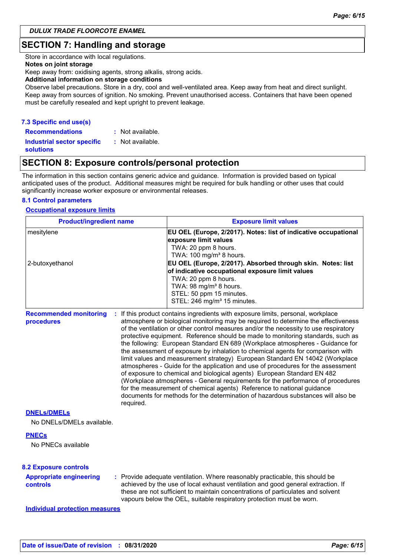### **SECTION 7: Handling and storage**

Store in accordance with local regulations.

#### **Notes on joint storage**

Keep away from: oxidising agents, strong alkalis, strong acids.

#### **Additional information on storage conditions**

Observe label precautions. Store in a dry, cool and well-ventilated area. Keep away from heat and direct sunlight. Keep away from sources of ignition. No smoking. Prevent unauthorised access. Containers that have been opened must be carefully resealed and kept upright to prevent leakage.

#### **7.3 Specific end use(s)**

**Recommendations : Industrial sector specific : solutions** : Not available. : Not available.

### **SECTION 8: Exposure controls/personal protection**

The information in this section contains generic advice and guidance. Information is provided based on typical anticipated uses of the product. Additional measures might be required for bulk handling or other uses that could significantly increase worker exposure or environmental releases.

#### **8.1 Control parameters**

#### **Occupational exposure limits**

| <b>Product/ingredient name</b><br>mesitylene<br>2-butoxyethanol |  | <b>Exposure limit values</b><br>EU OEL (Europe, 2/2017). Notes: list of indicative occupational<br>exposure limit values<br>TWA: 20 ppm 8 hours.<br>TWA: 100 mg/m <sup>3</sup> 8 hours.<br>EU OEL (Europe, 2/2017). Absorbed through skin. Notes: list<br>of indicative occupational exposure limit values<br>TWA: 20 ppm 8 hours.<br>TWA: 98 mg/m <sup>3</sup> 8 hours.<br>STEL: 50 ppm 15 minutes.<br>STEL: 246 mg/m <sup>3</sup> 15 minutes. |  |  |  |
|-----------------------------------------------------------------|--|-------------------------------------------------------------------------------------------------------------------------------------------------------------------------------------------------------------------------------------------------------------------------------------------------------------------------------------------------------------------------------------------------------------------------------------------------|--|--|--|
|                                                                 |  |                                                                                                                                                                                                                                                                                                                                                                                                                                                 |  |  |  |
| <b>DNELS/DMELS</b>                                              |  |                                                                                                                                                                                                                                                                                                                                                                                                                                                 |  |  |  |
| No DNELs/DMELs available.                                       |  |                                                                                                                                                                                                                                                                                                                                                                                                                                                 |  |  |  |
| <b>PNECs</b><br>No PNECs available                              |  |                                                                                                                                                                                                                                                                                                                                                                                                                                                 |  |  |  |
| <b>8.2 Exposure controls</b>                                    |  |                                                                                                                                                                                                                                                                                                                                                                                                                                                 |  |  |  |
| <b>Appropriate engineering</b><br>controls                      |  | : Provide adequate ventilation. Where reasonably practicable, this should be<br>achieved by the use of local exhaust ventilation and good general extraction. If<br>these are not sufficient to maintain concentrations of particulates and solvent<br>vapours below the OEL, suitable respiratory protection must be worn.                                                                                                                     |  |  |  |
| <b>Individual protection measures</b>                           |  |                                                                                                                                                                                                                                                                                                                                                                                                                                                 |  |  |  |
|                                                                 |  |                                                                                                                                                                                                                                                                                                                                                                                                                                                 |  |  |  |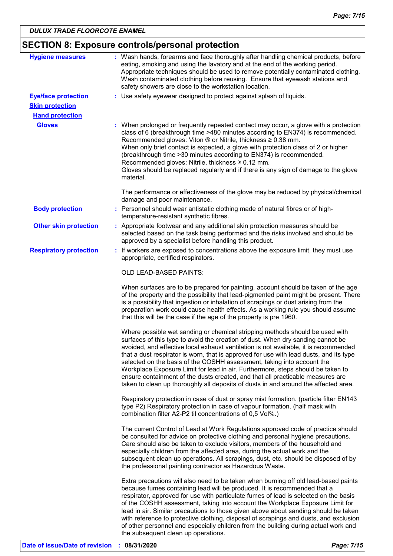| <b>Hygiene measures</b>       | : Wash hands, forearms and face thoroughly after handling chemical products, before                                                                                                                                                                                                                                                                                                                                                                                                                                                                                                                                                                                                     |
|-------------------------------|-----------------------------------------------------------------------------------------------------------------------------------------------------------------------------------------------------------------------------------------------------------------------------------------------------------------------------------------------------------------------------------------------------------------------------------------------------------------------------------------------------------------------------------------------------------------------------------------------------------------------------------------------------------------------------------------|
|                               | eating, smoking and using the lavatory and at the end of the working period.<br>Appropriate techniques should be used to remove potentially contaminated clothing.<br>Wash contaminated clothing before reusing. Ensure that eyewash stations and<br>safety showers are close to the workstation location.                                                                                                                                                                                                                                                                                                                                                                              |
| <b>Eye/face protection</b>    | : Use safety eyewear designed to protect against splash of liquids.                                                                                                                                                                                                                                                                                                                                                                                                                                                                                                                                                                                                                     |
| <b>Skin protection</b>        |                                                                                                                                                                                                                                                                                                                                                                                                                                                                                                                                                                                                                                                                                         |
| <b>Hand protection</b>        |                                                                                                                                                                                                                                                                                                                                                                                                                                                                                                                                                                                                                                                                                         |
| <b>Gloves</b>                 | : When prolonged or frequently repeated contact may occur, a glove with a protection<br>class of 6 (breakthrough time >480 minutes according to EN374) is recommended.<br>Recommended gloves: Viton $\circledR$ or Nitrile, thickness $\geq 0.38$ mm.<br>When only brief contact is expected, a glove with protection class of 2 or higher<br>(breakthrough time > 30 minutes according to EN374) is recommended.<br>Recommended gloves: Nitrile, thickness ≥ 0.12 mm.<br>Gloves should be replaced regularly and if there is any sign of damage to the glove<br>material.                                                                                                              |
|                               | The performance or effectiveness of the glove may be reduced by physical/chemical<br>damage and poor maintenance.                                                                                                                                                                                                                                                                                                                                                                                                                                                                                                                                                                       |
| <b>Body protection</b>        | : Personnel should wear antistatic clothing made of natural fibres or of high-<br>temperature-resistant synthetic fibres.                                                                                                                                                                                                                                                                                                                                                                                                                                                                                                                                                               |
| <b>Other skin protection</b>  | : Appropriate footwear and any additional skin protection measures should be<br>selected based on the task being performed and the risks involved and should be<br>approved by a specialist before handling this product.                                                                                                                                                                                                                                                                                                                                                                                                                                                               |
| <b>Respiratory protection</b> | : If workers are exposed to concentrations above the exposure limit, they must use<br>appropriate, certified respirators.                                                                                                                                                                                                                                                                                                                                                                                                                                                                                                                                                               |
|                               | OLD LEAD-BASED PAINTS:                                                                                                                                                                                                                                                                                                                                                                                                                                                                                                                                                                                                                                                                  |
|                               | When surfaces are to be prepared for painting, account should be taken of the age<br>of the property and the possibility that lead-pigmented paint might be present. There<br>is a possibility that ingestion or inhalation of scrapings or dust arising from the<br>preparation work could cause health effects. As a working rule you should assume<br>that this will be the case if the age of the property is pre 1960.                                                                                                                                                                                                                                                             |
|                               | Where possible wet sanding or chemical stripping methods should be used with<br>surfaces of this type to avoid the creation of dust. When dry sanding cannot be<br>avoided, and effective local exhaust ventilation is not available, it is recommended<br>that a dust respirator is worn, that is approved for use with lead dusts, and its type<br>selected on the basis of the COSHH assessment, taking into account the<br>Workplace Exposure Limit for lead in air. Furthermore, steps should be taken to<br>ensure containment of the dusts created, and that all practicable measures are<br>taken to clean up thoroughly all deposits of dusts in and around the affected area. |
|                               | Respiratory protection in case of dust or spray mist formation. (particle filter EN143<br>type P2) Respiratory protection in case of vapour formation. (half mask with<br>combination filter A2-P2 til concentrations of 0,5 Vol%.)                                                                                                                                                                                                                                                                                                                                                                                                                                                     |
|                               | The current Control of Lead at Work Regulations approved code of practice should<br>be consulted for advice on protective clothing and personal hygiene precautions.<br>Care should also be taken to exclude visitors, members of the household and<br>especially children from the affected area, during the actual work and the<br>subsequent clean up operations. All scrapings, dust, etc. should be disposed of by<br>the professional painting contractor as Hazardous Waste.                                                                                                                                                                                                     |
|                               | Extra precautions will also need to be taken when burning off old lead-based paints<br>because fumes containing lead will be produced. It is recommended that a<br>respirator, approved for use with particulate fumes of lead is selected on the basis<br>of the COSHH assessment, taking into account the Workplace Exposure Limit for<br>lead in air. Similar precautions to those given above about sanding should be taken<br>with reference to protective clothing, disposal of scrapings and dusts, and exclusion<br>of other personnel and especially children from the building during actual work and                                                                         |

the subsequent clean up operations.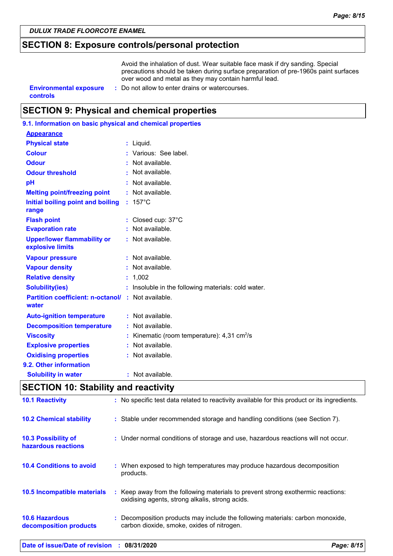### **SECTION 8: Exposure controls/personal protection**

Avoid the inhalation of dust. Wear suitable face mask if dry sanding. Special precautions should be taken during surface preparation of pre-1960s paint surfaces over wood and metal as they may contain harmful lead.

**controls**

- **Environmental exposure : Do not allow to enter drains or watercourses.** 
	-

# **SECTION 9: Physical and chemical properties**

| 9.1. Information on basic physical and chemical properties |    |                                                         |
|------------------------------------------------------------|----|---------------------------------------------------------|
| <b>Appearance</b>                                          |    |                                                         |
| <b>Physical state</b>                                      |    | : Liquid.                                               |
| <b>Colour</b>                                              |    | : Various: See label.                                   |
| <b>Odour</b>                                               |    | Not available.                                          |
| <b>Odour threshold</b>                                     |    | : Not available.                                        |
| рH                                                         |    | Not available.                                          |
| <b>Melting point/freezing point</b>                        |    | : Not available.                                        |
| Initial boiling point and boiling<br>range                 |    | $: 157^{\circ}$ C                                       |
| <b>Flash point</b>                                         |    | Closed cup: 37°C                                        |
| <b>Evaporation rate</b>                                    |    | : Not available.                                        |
| <b>Upper/lower flammability or</b><br>explosive limits     |    | : Not available.                                        |
| <b>Vapour pressure</b>                                     |    | : Not available.                                        |
| <b>Vapour density</b>                                      |    | : Not available.                                        |
| <b>Relative density</b>                                    |    | 1,002                                                   |
| <b>Solubility(ies)</b>                                     |    | Insoluble in the following materials: cold water.       |
| <b>Partition coefficient: n-octanol/</b><br>water          |    | : Not available.                                        |
| <b>Auto-ignition temperature</b>                           |    | : Not available.                                        |
| <b>Decomposition temperature</b>                           |    | Not available.                                          |
| <b>Viscosity</b>                                           |    | Kinematic (room temperature): $4,31$ cm <sup>2</sup> /s |
| <b>Explosive properties</b>                                | t. | Not available.                                          |
| <b>Oxidising properties</b>                                |    | : Not available.                                        |
| 9.2. Other information                                     |    |                                                         |
| <b>Solubility in water</b>                                 |    | $:$ Not available.                                      |
|                                                            |    |                                                         |

# **SECTION 10: Stability and reactivity**

| Date of issue/Date of revision : 08/31/2020       |                                                                                                                                         | Page: 8/15 |
|---------------------------------------------------|-----------------------------------------------------------------------------------------------------------------------------------------|------------|
| <b>10.6 Hazardous</b><br>decomposition products   | Decomposition products may include the following materials: carbon monoxide,<br>carbon dioxide, smoke, oxides of nitrogen.              |            |
| 10.5 Incompatible materials                       | Keep away from the following materials to prevent strong exothermic reactions:<br>÷.<br>oxidising agents, strong alkalis, strong acids. |            |
| <b>10.4 Conditions to avoid</b>                   | : When exposed to high temperatures may produce hazardous decomposition<br>products.                                                    |            |
| <b>10.3 Possibility of</b><br>hazardous reactions | : Under normal conditions of storage and use, hazardous reactions will not occur.                                                       |            |
| <b>10.2 Chemical stability</b>                    | : Stable under recommended storage and handling conditions (see Section 7).                                                             |            |
| <b>10.1 Reactivity</b>                            | : No specific test data related to reactivity available for this product or its ingredients.                                            |            |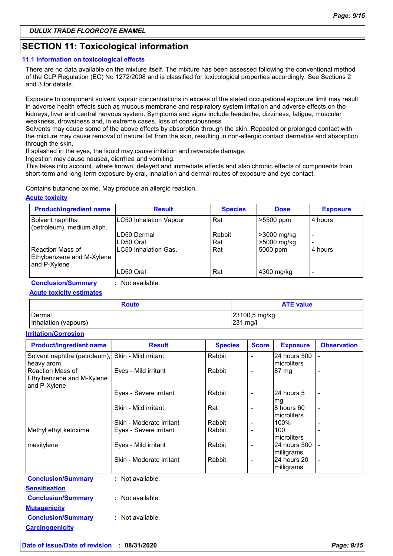# **SECTION 11: Toxicological information**

#### **11.1 Information on toxicological effects**

There are no data available on the mixture itself. The mixture has been assessed following the conventional method of the CLP Regulation (EC) No 1272/2008 and is classified for toxicological properties accordingly. See Sections 2 and 3 for details.

Exposure to component solvent vapour concentrations in excess of the stated occupational exposure limit may result in adverse health effects such as mucous membrane and respiratory system irritation and adverse effects on the kidneys, liver and central nervous system. Symptoms and signs include headache, dizziness, fatigue, muscular weakness, drowsiness and, in extreme cases, loss of consciousness.

Solvents may cause some of the above effects by absorption through the skin. Repeated or prolonged contact with the mixture may cause removal of natural fat from the skin, resulting in non-allergic contact dermatitis and absorption through the skin.

If splashed in the eyes, the liquid may cause irritation and reversible damage.

Ingestion may cause nausea, diarrhea and vomiting.

This takes into account, where known, delayed and immediate effects and also chronic effects of components from short-term and long-term exposure by oral, inhalation and dermal routes of exposure and eye contact.

Contains butanone oxime. May produce an allergic reaction.

#### **Acute toxicity**

| <b>Product/ingredient name</b>                                | <b>Result</b>                 | <b>Species</b> | <b>Dose</b>                | <b>Exposure</b>                                      |
|---------------------------------------------------------------|-------------------------------|----------------|----------------------------|------------------------------------------------------|
| Solvent naphtha<br>(petroleum), medium aliph.                 | <b>LC50 Inhalation Vapour</b> | Rat            | >5500 ppm                  | 4 hours                                              |
|                                                               | LD50 Dermal<br>LD50 Oral      | Rabbit<br>Rat  | >3000 mg/kg<br>>5000 mg/kg | $\overline{\phantom{0}}$<br>$\overline{\phantom{0}}$ |
| Reaction Mass of<br>Ethylbenzene and M-Xylene<br>and P-Xylene | LC50 Inhalation Gas.          | Rat            | 5000 ppm                   | 4 hours                                              |
|                                                               | LD50 Oral                     | Rat            | 4300 mg/kg                 | $\overline{\phantom{0}}$                             |

**Conclusion/Summary :** Not available.

**Acute toxicity estimates**

| <b>Route</b>         | <b>ATE value</b> |  |  |
|----------------------|------------------|--|--|
| Dermal               | 23100,5 mg/kg    |  |  |
| Inhalation (vapours) | 231 mg/l         |  |  |

#### **Irritation/Corrosion**

| <b>Product/ingredient name</b>            | <b>Result</b>            | <b>Species</b> | <b>Score</b>             | <b>Exposure</b> | <b>Observation</b>       |
|-------------------------------------------|--------------------------|----------------|--------------------------|-----------------|--------------------------|
| Solvent naphtha (petroleum),              | Skin - Mild irritant     | Rabbit         |                          | 24 hours 500    |                          |
| heavy arom.                               |                          |                |                          | microliters     |                          |
| <b>Reaction Mass of</b>                   | Eyes - Mild irritant     | Rabbit         | $\overline{\phantom{0}}$ | 87 mg           |                          |
| Ethylbenzene and M-Xylene<br>and P-Xylene |                          |                |                          |                 |                          |
|                                           | Eyes - Severe irritant   | Rabbit         |                          | 24 hours 5      |                          |
|                                           |                          |                |                          | mg              |                          |
|                                           | Skin - Mild irritant     | Rat            | $\overline{\phantom{0}}$ | l8 hours 60     | $\overline{\phantom{a}}$ |
|                                           |                          |                |                          | microliters     |                          |
|                                           | Skin - Moderate irritant | Rabbit         |                          | 100%            |                          |
| Methyl ethyl ketoxime                     | Eyes - Severe irritant   | Rabbit         |                          | 100             |                          |
|                                           |                          |                |                          | microliters     |                          |
| mesitylene                                | Eyes - Mild irritant     | Rabbit         | $\overline{\phantom{a}}$ | 24 hours 500    |                          |
|                                           |                          |                |                          | milligrams      |                          |
|                                           | Skin - Moderate irritant | Rabbit         |                          | 24 hours 20     |                          |
|                                           |                          |                |                          | milligrams      |                          |
| <b>Conclusion/Summary</b>                 | : Not available.         |                |                          |                 |                          |
| <b>Sensitisation</b>                      |                          |                |                          |                 |                          |
| <b>Conclusion/Summary</b>                 | : Not available.         |                |                          |                 |                          |
| <b>Mutagenicity</b>                       |                          |                |                          |                 |                          |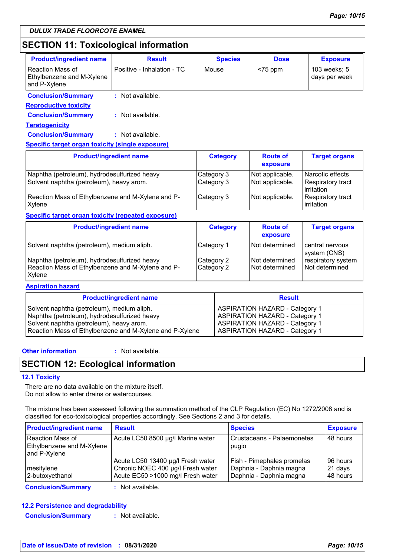# **SECTION 11: Toxicological information**

| <b>Product/ingredient name</b>                                | <b>Result</b>              | <b>Species</b> | <b>Dose</b> | <b>Exposure</b>               |
|---------------------------------------------------------------|----------------------------|----------------|-------------|-------------------------------|
| Reaction Mass of<br>Ethylbenzene and M-Xylene<br>and P-Xylene | Positive - Inhalation - TC | Mouse          | $<$ 75 ppm  | 103 weeks; 5<br>days per week |
| <b>Conclusion/Summary</b><br><b>Reproductive toxicity</b>     | $:$ Not available.         |                |             |                               |
| <b>Conclusion/Summary</b>                                     | : Not available.           |                |             |                               |

**Teratogenicity**

**Conclusion/Summary :** Not available.

#### **Specific target organ toxicity (single exposure)**

| <b>Product/ingredient name</b>                                                           | <b>Category</b>          | <b>Route of</b><br>exposure        | <b>Target organs</b>                                         |
|------------------------------------------------------------------------------------------|--------------------------|------------------------------------|--------------------------------------------------------------|
| Naphtha (petroleum), hydrodesulfurized heavy<br>Solvent naphtha (petroleum), heavy arom. | Category 3<br>Category 3 | Not applicable.<br>Not applicable. | Narcotic effects<br>Respiratory tract<br><b>l</b> irritation |
| Reaction Mass of Ethylbenzene and M-Xylene and P-<br>Xylene                              | Category 3               | Not applicable.                    | Respiratory tract<br><b>lirritation</b>                      |

#### **Specific target organ toxicity (repeated exposure)**

| <b>Product/ingredient name</b>                                                                              | <b>Category</b>          | <b>Route of</b><br>exposure      | <b>Target organs</b>                 |
|-------------------------------------------------------------------------------------------------------------|--------------------------|----------------------------------|--------------------------------------|
| Solvent naphtha (petroleum), medium aliph.                                                                  | Category 1               | l Not determined                 | l central nervous<br>system (CNS)    |
| Naphtha (petroleum), hydrodesulfurized heavy<br>Reaction Mass of Ethylbenzene and M-Xylene and P-<br>Xylene | Category 2<br>Category 2 | Not determined<br>Not determined | respiratory system<br>Not determined |

#### **Aspiration hazard**

| <b>Product/ingredient name</b>                          | <b>Result</b>                         |
|---------------------------------------------------------|---------------------------------------|
| Solvent naphtha (petroleum), medium aliph.              | <b>ASPIRATION HAZARD - Category 1</b> |
| Naphtha (petroleum), hydrodesulfurized heavy            | <b>ASPIRATION HAZARD - Category 1</b> |
| Solvent naphtha (petroleum), heavy arom.                | <b>ASPIRATION HAZARD - Category 1</b> |
| Reaction Mass of Ethylbenzene and M-Xylene and P-Xylene | <b>ASPIRATION HAZARD - Category 1</b> |

#### **Other information :**

: Not available.

# **SECTION 12: Ecological information**

#### **12.1 Toxicity**

There are no data available on the mixture itself. Do not allow to enter drains or watercourses.

The mixture has been assessed following the summation method of the CLP Regulation (EC) No 1272/2008 and is classified for eco-toxicological properties accordingly. See Sections 2 and 3 for details.

| <b>Product/ingredient name</b>                                       | <b>Result</b>                                                                                               | <b>Species</b>                                                                   | <b>Exposure</b>                 |
|----------------------------------------------------------------------|-------------------------------------------------------------------------------------------------------------|----------------------------------------------------------------------------------|---------------------------------|
| <b>Reaction Mass of</b><br>Ethylbenzene and M-Xylene<br>and P-Xylene | Acute LC50 8500 µg/l Marine water                                                                           | Crustaceans - Palaemonetes<br>pugio                                              | 48 hours                        |
| mesitylene<br>2-butoxyethanol                                        | Acute LC50 13400 µg/l Fresh water<br>Chronic NOEC 400 µg/l Fresh water<br>Acute EC50 >1000 mg/l Fresh water | Fish - Pimephales promelas<br>Daphnia - Daphnia magna<br>Daphnia - Daphnia magna | 96 hours<br>21 days<br>48 hours |
| Associated to a 10 concern such                                      | and Millet and a State to the                                                                               |                                                                                  |                                 |

**Conclusion/Summary :** Not available.

#### **12.2 Persistence and degradability**

**Conclusion/Summary :** Not available.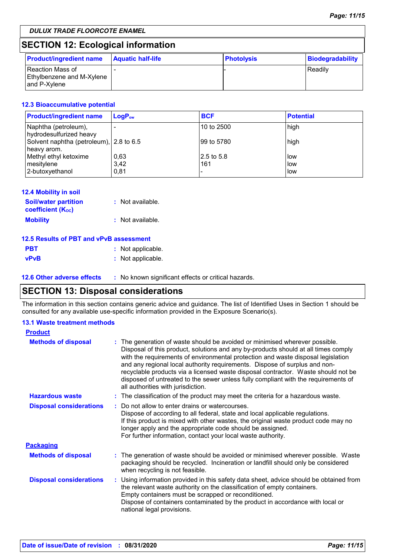# **SECTION 12: Ecological information**

| <b>Product/ingredient name</b>                                  | <b>Aquatic half-life</b> | <b>Photolysis</b> | Biodegradability |
|-----------------------------------------------------------------|--------------------------|-------------------|------------------|
| l Reaction Mass of<br>Ethylbenzene and M-Xylene<br>and P-Xylene |                          |                   | l Readilv        |

#### **12.3 Bioaccumulative potential**

| <b>Product/ingredient name</b>                         | $LogP_{ow}$ | <b>BCF</b>  | <b>Potential</b> |
|--------------------------------------------------------|-------------|-------------|------------------|
| Naphtha (petroleum),<br>hydrodesulfurized heavy        |             | 10 to 2500  | high             |
| Solvent naphtha (petroleum), 2.8 to 6.5<br>heavy arom. |             | 199 to 5780 | high             |
| Methyl ethyl ketoxime                                  | 0,63        | 2.5 to 5.8  | low              |
| mesitylene                                             | 3.42        | 161         | l low            |
| 2-butoxyethanol                                        | 0.81        |             | low              |

#### **12.4 Mobility in soil**

| <b>Soil/water partition</b>           | : Not available. |
|---------------------------------------|------------------|
| <b>coefficient</b> (K <sub>oc</sub> ) |                  |
| <b>Mobility</b>                       | : Not available. |

#### **12.5 Results of PBT and vPvB assessment**

| <b>PBT</b>  | : Not applicable. |
|-------------|-------------------|
| <b>vPvB</b> | : Not applicable. |

**12.6 Other adverse effects** : No known significant effects or critical hazards.

# **SECTION 13: Disposal considerations**

The information in this section contains generic advice and guidance. The list of Identified Uses in Section 1 should be consulted for any available use-specific information provided in the Exposure Scenario(s).

#### **13.1 Waste treatment methods**

| <b>Product</b>                 |                                                                                                                                                                                                                                                                                                                                                                                                                                                                                                                                                    |  |
|--------------------------------|----------------------------------------------------------------------------------------------------------------------------------------------------------------------------------------------------------------------------------------------------------------------------------------------------------------------------------------------------------------------------------------------------------------------------------------------------------------------------------------------------------------------------------------------------|--|
| <b>Methods of disposal</b>     | The generation of waste should be avoided or minimised wherever possible.<br>Disposal of this product, solutions and any by-products should at all times comply<br>with the requirements of environmental protection and waste disposal legislation<br>and any regional local authority requirements. Dispose of surplus and non-<br>recyclable products via a licensed waste disposal contractor. Waste should not be<br>disposed of untreated to the sewer unless fully compliant with the requirements of<br>all authorities with jurisdiction. |  |
| <b>Hazardous waste</b>         | : The classification of the product may meet the criteria for a hazardous waste.                                                                                                                                                                                                                                                                                                                                                                                                                                                                   |  |
| <b>Disposal considerations</b> | Do not allow to enter drains or watercourses.<br>Dispose of according to all federal, state and local applicable regulations.<br>If this product is mixed with other wastes, the original waste product code may no<br>longer apply and the appropriate code should be assigned.<br>For further information, contact your local waste authority.                                                                                                                                                                                                   |  |
| <b>Packaging</b>               |                                                                                                                                                                                                                                                                                                                                                                                                                                                                                                                                                    |  |
| <b>Methods of disposal</b>     | : The generation of waste should be avoided or minimised wherever possible. Waste<br>packaging should be recycled. Incineration or landfill should only be considered<br>when recycling is not feasible.                                                                                                                                                                                                                                                                                                                                           |  |
| <b>Disposal considerations</b> | : Using information provided in this safety data sheet, advice should be obtained from<br>the relevant waste authority on the classification of empty containers.<br>Empty containers must be scrapped or reconditioned.<br>Dispose of containers contaminated by the product in accordance with local or<br>national legal provisions.                                                                                                                                                                                                            |  |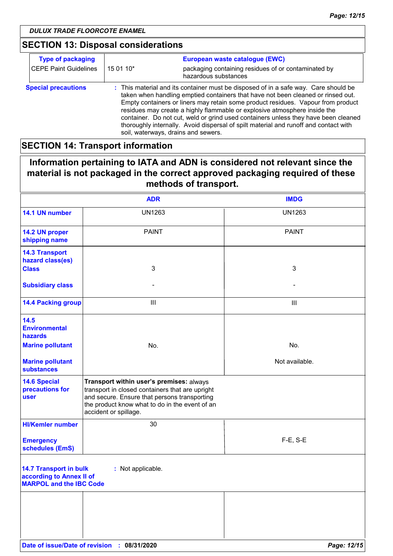# **SECTION 13: Disposal considerations**

| <b>Type of packaging</b>     | European waste catalogue (EWC) |                                                                                                                                                                                                                                                                                                                                                                                                                                                                                                                                                               |
|------------------------------|--------------------------------|---------------------------------------------------------------------------------------------------------------------------------------------------------------------------------------------------------------------------------------------------------------------------------------------------------------------------------------------------------------------------------------------------------------------------------------------------------------------------------------------------------------------------------------------------------------|
| <b>CEPE Paint Guidelines</b> | 15 01 10*                      | packaging containing residues of or contaminated by<br>hazardous substances                                                                                                                                                                                                                                                                                                                                                                                                                                                                                   |
| <b>Special precautions</b>   |                                | : This material and its container must be disposed of in a safe way. Care should be<br>taken when handling emptied containers that have not been cleaned or rinsed out.<br>Empty containers or liners may retain some product residues. Vapour from product<br>residues may create a highly flammable or explosive atmosphere inside the<br>container. Do not cut, weld or grind used containers unless they have been cleaned<br>thoroughly internally. Avoid dispersal of spilt material and runoff and contact with<br>soil, waterways, drains and sewers. |

# **SECTION 14: Transport information**

# **Information pertaining to IATA and ADN is considered not relevant since the material is not packaged in the correct approved packaging required of these methods of transport.**

|                                                                                             | <b>ADR</b>                                                                                                                                                                                                             | <b>IMDG</b>    |
|---------------------------------------------------------------------------------------------|------------------------------------------------------------------------------------------------------------------------------------------------------------------------------------------------------------------------|----------------|
| 14.1 UN number                                                                              | <b>UN1263</b>                                                                                                                                                                                                          | <b>UN1263</b>  |
| 14.2 UN proper<br>shipping name                                                             | <b>PAINT</b>                                                                                                                                                                                                           | <b>PAINT</b>   |
| <b>14.3 Transport</b><br>hazard class(es)                                                   |                                                                                                                                                                                                                        |                |
| <b>Class</b>                                                                                | 3                                                                                                                                                                                                                      | $\mathbf{3}$   |
| <b>Subsidiary class</b>                                                                     |                                                                                                                                                                                                                        |                |
| <b>14.4 Packing group</b>                                                                   | $\ensuremath{\mathsf{III}}\xspace$                                                                                                                                                                                     | $\mathbf{III}$ |
| 14.5<br><b>Environmental</b><br>hazards                                                     |                                                                                                                                                                                                                        |                |
| <b>Marine pollutant</b>                                                                     | No.                                                                                                                                                                                                                    | No.            |
| <b>Marine pollutant</b><br><b>substances</b>                                                |                                                                                                                                                                                                                        | Not available. |
| <b>14.6 Special</b><br>precautions for<br><b>user</b>                                       | Transport within user's premises: always<br>transport in closed containers that are upright<br>and secure. Ensure that persons transporting<br>the product know what to do in the event of an<br>accident or spillage. |                |
| <b>HI/Kemler number</b>                                                                     | 30                                                                                                                                                                                                                     |                |
| <b>Emergency</b><br>schedules (EmS)                                                         |                                                                                                                                                                                                                        | $F-E$ , S-E    |
| <b>14.7 Transport in bulk</b><br>according to Annex II of<br><b>MARPOL and the IBC Code</b> | : Not applicable.                                                                                                                                                                                                      |                |
|                                                                                             |                                                                                                                                                                                                                        |                |
|                                                                                             |                                                                                                                                                                                                                        |                |
|                                                                                             |                                                                                                                                                                                                                        |                |
|                                                                                             | Date of issue/Date of revision : 08/31/2020                                                                                                                                                                            | Page: 12/15    |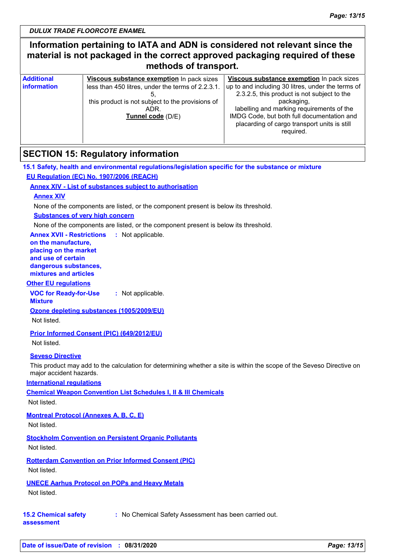# **Information pertaining to IATA and ADN is considered not relevant since the material is not packaged in the correct approved packaging required of these methods of transport.**

| <b>Additional</b> | Viscous substance exemption In pack sizes         | Viscous substance exemption In pack sizes         |
|-------------------|---------------------------------------------------|---------------------------------------------------|
| information       | less than 450 litres, under the terms of 2.2.3.1. | up to and including 30 litres, under the terms of |
|                   |                                                   | 2.3.2.5, this product is not subject to the       |
|                   | this product is not subject to the provisions of  | packaging,                                        |
|                   | ADR.                                              | labelling and marking requirements of the         |
|                   | Tunnel code (D/E)                                 | IMDG Code, but both full documentation and        |
|                   |                                                   | placarding of cargo transport units is still      |
|                   |                                                   | required.                                         |
|                   |                                                   |                                                   |

# **SECTION 15: Regulatory information**

#### **15.1 Safety, health and environmental regulations/legislation specific for the substance or mixture EU Regulation (EC) No. 1907/2006 (REACH)**

#### **Annex XIV - List of substances subject to authorisation**

#### **Annex XIV**

None of the components are listed, or the component present is below its threshold.

#### **Substances of very high concern**

None of the components are listed, or the component present is below its threshold.

**Annex XVII - Restrictions :** Not applicable. **on the manufacture, placing on the market and use of certain dangerous substances, mixtures and articles**

#### **Other EU regulations**

**VOC for Ready-for-Use :** Not applicable.

**Mixture**

**Ozone depleting substances (1005/2009/EU)**

Not listed.

#### **Prior Informed Consent (PIC) (649/2012/EU)**

Not listed.

#### **Seveso Directive**

This product may add to the calculation for determining whether a site is within the scope of the Seveso Directive on major accident hazards.

**International regulations**

**Chemical Weapon Convention List Schedules I, II & III Chemicals**

Not listed.

### **Montreal Protocol (Annexes A, B, C, E)**

Not listed.

### **Stockholm Convention on Persistent Organic Pollutants**

Not listed.

**Rotterdam Convention on Prior Informed Consent (PIC)**

Not listed.

### **UNECE Aarhus Protocol on POPs and Heavy Metals**

Not listed.

**15.2 Chemical safety :** No Chemical Safety Assessment has been carried out.

**assessment**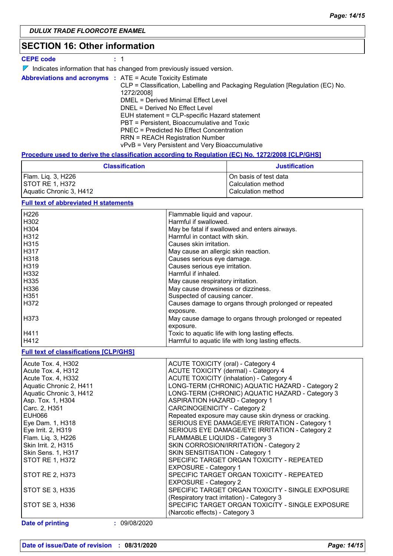# **SECTION 16: Other information**

#### **CEPE code :** 1

| $\nabla$ Indicates information that has changed from previously issued version. |  |
|---------------------------------------------------------------------------------|--|
|---------------------------------------------------------------------------------|--|

|                                               | <b>Abbreviations and acronyms : ATE = Acute Toxicity Estimate</b>             |
|-----------------------------------------------|-------------------------------------------------------------------------------|
|                                               | CLP = Classification, Labelling and Packaging Regulation [Regulation (EC) No. |
|                                               | 1272/2008]                                                                    |
| DMEL = Derived Minimal Effect Level           |                                                                               |
|                                               | DNEL = Derived No Effect Level                                                |
| EUH statement = CLP-specific Hazard statement |                                                                               |
|                                               | PBT = Persistent, Bioaccumulative and Toxic                                   |
| PNEC = Predicted No Effect Concentration      |                                                                               |
|                                               | <b>RRN = REACH Registration Number</b>                                        |
|                                               | vPvB = Very Persistent and Very Bioaccumulative                               |

#### **Procedure used to derive the classification according to Regulation (EC) No. 1272/2008 [CLP/GHS]**

| <b>Classification</b>   | <b>Justification</b>  |
|-------------------------|-----------------------|
| Flam. Liq. 3, H226      | On basis of test data |
| <b>ISTOT RE 1. H372</b> | l Calculation method  |
| Aquatic Chronic 3, H412 | Calculation method    |

#### **Full text of abbreviated H statements**

| H226             | Flammable liquid and vapour.                             |
|------------------|----------------------------------------------------------|
| H302             | Harmful if swallowed.                                    |
| H304             | May be fatal if swallowed and enters airways.            |
| H312             | Harmful in contact with skin.                            |
| H315             | Causes skin irritation.                                  |
| H317             | May cause an allergic skin reaction.                     |
| H318             | Causes serious eye damage.                               |
| H319             | Causes serious eye irritation.                           |
| H332             | Harmful if inhaled.                                      |
| H335             | May cause respiratory irritation.                        |
| H336             | May cause drowsiness or dizziness.                       |
| H <sub>351</sub> | Suspected of causing cancer.                             |
| H372             | Causes damage to organs through prolonged or repeated    |
|                  | exposure.                                                |
| H373             | May cause damage to organs through prolonged or repeated |
|                  | exposure.                                                |
| H411             | Toxic to aquatic life with long lasting effects.         |
| H412             | Harmful to aquatic life with long lasting effects.       |

#### **Full text of classifications [CLP/GHS]**

| Acute Tox. 4, H302                      | ACUTE TOXICITY (oral) - Category 4                    |
|-----------------------------------------|-------------------------------------------------------|
| Acute Tox. 4, H312                      | ACUTE TOXICITY (dermal) - Category 4                  |
| Acute Tox. 4, H332                      | <b>ACUTE TOXICITY (inhalation) - Category 4</b>       |
| Aquatic Chronic 2, H411                 | LONG-TERM (CHRONIC) AQUATIC HAZARD - Category 2       |
| Aquatic Chronic 3, H412                 | LONG-TERM (CHRONIC) AQUATIC HAZARD - Category 3       |
| Asp. Tox. 1, H304                       | <b>ASPIRATION HAZARD - Category 1</b>                 |
| Carc. 2, H351                           | <b>CARCINOGENICITY - Category 2</b>                   |
| EUH066                                  | Repeated exposure may cause skin dryness or cracking. |
| Eye Dam. 1, H318                        | SERIOUS EYE DAMAGE/EYE IRRITATION - Category 1        |
| Eye Irrit. 2, H319                      | SERIOUS EYE DAMAGE/EYE IRRITATION - Category 2        |
| Flam. Lig. 3, H226                      | FLAMMABLE LIQUIDS - Category 3                        |
| Skin Irrit. 2, H315                     | SKIN CORROSION/IRRITATION - Category 2                |
| <b>Skin Sens. 1, H317</b>               | SKIN SENSITISATION - Category 1                       |
| <b>STOT RE 1, H372</b>                  | SPECIFIC TARGET ORGAN TOXICITY - REPEATED             |
|                                         | <b>EXPOSURE - Category 1</b>                          |
| STOT RE 2, H373                         | SPECIFIC TARGET ORGAN TOXICITY - REPEATED             |
|                                         | <b>EXPOSURE - Category 2</b>                          |
| STOT SE 3, H335                         | SPECIFIC TARGET ORGAN TOXICITY - SINGLE EXPOSURE      |
|                                         | (Respiratory tract irritation) - Category 3           |
| STOT SE 3, H336                         | SPECIFIC TARGET ORGAN TOXICITY - SINGLE EXPOSURE      |
|                                         | (Narcotic effects) - Category 3                       |
| <b>Date of printing</b><br>: 09/08/2020 |                                                       |